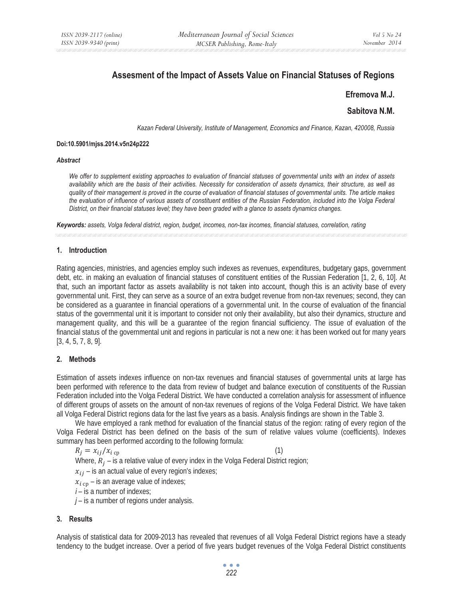# **Assesment of the Impact of Assets Value on Financial Statuses of Regions**

## **Efremova M.J.**

# **Sabitova N.M.**

*Kazan Federal University, Institute of Management, Economics and Finance, Kazan, 420008, Russia* 

#### **Doi:10.5901/mjss.2014.v5n24p222**

#### *Abstract*

*We offer to supplement existing approaches to evaluation of financial statuses of governmental units with an index of assets availability which are the basis of their activities. Necessity for consideration of assets dynamics, their structure, as well as quality of their management is proved in the course of evaluation of financial statuses of governmental units. The article makes the evaluation of influence of various assets of constituent entities of the Russian Federation, included into the Volga Federal District, on their financial statuses level; they have been graded with a glance to assets dynamics changes.* 

*Keywords: assets, Volga federal district, region, budget, incomes, non-tax incomes, financial statuses, correlation, rating*

#### **1. Introduction**

Rating agencies, ministries, and agencies employ such indexes as revenues, expenditures, budgetary gaps, government debt, etc. in making an evaluation of financial statuses of constituent entities of the Russian Federation [1, 2, 6, 10]. At that, such an important factor as assets availability is not taken into account, though this is an activity base of every governmental unit. First, they can serve as a source of an extra budget revenue from non-tax revenues; second, they can be considered as a guarantee in financial operations of a governmental unit. In the course of evaluation of the financial status of the governmental unit it is important to consider not only their availability, but also their dynamics, structure and management quality, and this will be a guarantee of the region financial sufficiency. The issue of evaluation of the financial status of the governmental unit and regions in particular is not a new one: it has been worked out for many years [3, 4, 5, 7, 8, 9].

## **2. Methods**

Estimation of assets indexes influence on non-tax revenues and financial statuses of governmental units at large has been performed with reference to the data from review of budget and balance execution of constituents of the Russian Federation included into the Volga Federal District. We have conducted a correlation analysis for assessment of influence of different groups of assets on the amount of non-tax revenues of regions of the Volga Federal District. We have taken all Volga Federal District regions data for the last five years as a basis. Analysis findings are shown in the Table 3.

We have employed a rank method for evaluation of the financial status of the region: rating of every region of the Volga Federal District has been defined on the basis of the sum of relative values volume (coefficients). Indexes summary has been performed according to the following formula:

$$
R_j = x_{ij}/x_{i\,\text{cp}}\tag{1}
$$

Where,  $R_i$  – is a relative value of every index in the Volga Federal District region;

 $x_{ij}$  – is an actual value of every region's indexes;

 $x_{i \text{cn}}$  – is an average value of indexes;

*i* – is a number of indexes;

*j* – is a number of regions under analysis.

## **3. Results**

Analysis of statistical data for 2009-2013 has revealed that revenues of all Volga Federal District regions have a steady tendency to the budget increase. Over a period of five years budget revenues of the Volga Federal District constituents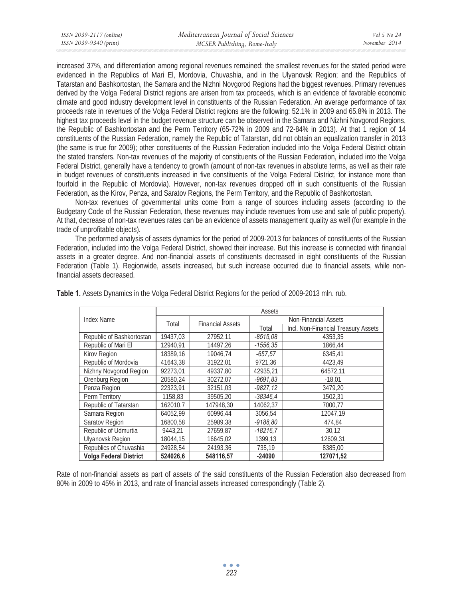increased 37%, and differentiation among regional revenues remained: the smallest revenues for the stated period were evidenced in the Republics of Mari El, Mordovia, Chuvashia, and in the Ulyanovsk Region; and the Republics of Tatarstan and Bashkortostan, the Samara and the Nizhni Novgorod Regions had the biggest revenues. Primary revenues derived by the Volga Federal District regions are arisen from tax proceeds, which is an evidence of favorable economic climate and good industry development level in constituents of the Russian Federation. An average performance of tax proceeds rate in revenues of the Volga Federal District regions are the following: 52.1% in 2009 and 65.8% in 2013. The highest tax proceeds level in the budget revenue structure can be observed in the Samara and Nizhni Novgorod Regions, the Republic of Bashkortostan and the Perm Territory (65-72% in 2009 and 72-84% in 2013). At that 1 region of 14 constituents of the Russian Federation, namely the Republic of Tatarstan, did not obtain an equalization transfer in 2013 (the same is true for 2009); other constituents of the Russian Federation included into the Volga Federal District obtain the stated transfers. Non-tax revenues of the majority of constituents of the Russian Federation, included into the Volga Federal District, generally have a tendency to growth (amount of non-tax revenues in absolute terms, as well as their rate in budget revenues of constituents increased in five constituents of the Volga Federal District, for instance more than fourfold in the Republic of Mordovia). However, non-tax revenues dropped off in such constituents of the Russian Federation, as the Kirov, Penza, and Saratov Regions, the Perm Territory, and the Republic of Bashkortostan.

Non-tax revenues of governmental units come from a range of sources including assets (according to the Budgetary Code of the Russian Federation, these revenues may include revenues from use and sale of public property). At that, decrease of non-tax revenues rates can be an evidence of assets management quality as well (for example in the trade of unprofitable objects).

The performed analysis of assets dynamics for the period of 2009-2013 for balances of constituents of the Russian Federation, included into the Volga Federal District, showed their increase. But this increase is connected with financial assets in a greater degree. And non-financial assets of constituents decreased in eight constituents of the Russian Federation (Table 1). Regionwide, assets increased, but such increase occurred due to financial assets, while nonfinancial assets decreased.

|                               | Assets   |                         |                             |                                     |  |
|-------------------------------|----------|-------------------------|-----------------------------|-------------------------------------|--|
| Index Name                    |          | <b>Financial Assets</b> | <b>Non-Financial Assets</b> |                                     |  |
|                               | Total    |                         | Total                       | Incl. Non-Financial Treasury Assets |  |
| Republic of Bashkortostan     | 19437,03 | 27952,11                | $-8515,08$                  | 4353,35                             |  |
| Republic of Mari El           | 12940,91 | 14497,26                | $-1556,35$                  | 1866,44                             |  |
| Kirov Region                  | 18389,16 | 19046.74                | $-657,57$                   | 6345.41                             |  |
| Republic of Mordovia          | 41643,38 | 31922.01                | 9721.36                     | 4423.49                             |  |
| Nizhny Novgorod Region        | 92273,01 | 49337.80                | 42935.21                    | 64572,11                            |  |
| Orenburg Region               | 20580.24 | 30272.07                | $-9691.83$                  | $-18.01$                            |  |
| Penza Region                  | 22323.91 | 32151.03                | $-9827.12$                  | 3479.20                             |  |
| Perm Territory                | 1158.83  | 39505.20                | $-38346.4$                  | 1502.31                             |  |
| Republic of Tatarstan         | 162010.7 | 147948.30               | 14062.37                    | 7000.77                             |  |
| Samara Region                 | 64052.99 | 60996.44                | 3056.54                     | 12047.19                            |  |
| Saratov Region                | 16800,58 | 25989.38                | $-9188,80$                  | 474,84                              |  |
| Republic of Udmurtia          | 9443,21  | 27659,87                | $-18216.7$                  | 30,12                               |  |
| <b>Ulyanovsk Region</b>       | 18044,15 | 16645,02                | 1399,13                     | 12609,31                            |  |
| Republics of Chuvashia        | 24928,54 | 24193,36                | 735,19                      | 8385,00                             |  |
| <b>Volga Federal District</b> | 524026,6 | 548116,57               | $-24090$                    | 127071,52                           |  |

**Table 1.** Assets Dynamics in the Volga Federal District Regions for the period of 2009-2013 mln. rub.

Rate of non-financial assets as part of assets of the said constituents of the Russian Federation also decreased from 80% in 2009 to 45% in 2013, and rate of financial assets increased correspondingly (Table 2).

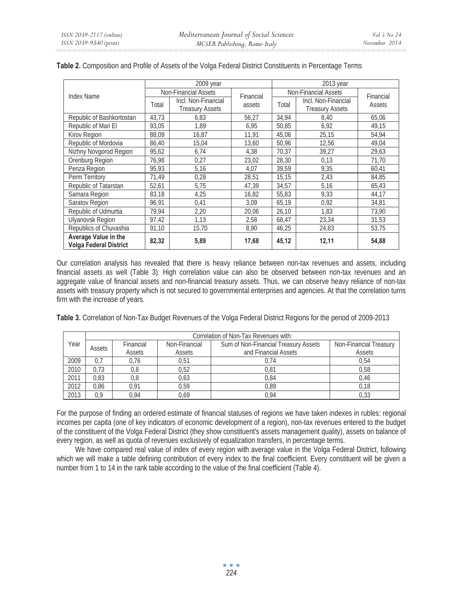|                                                       | 2009 year                   |                        |           | $2013$ year                 |                        |           |
|-------------------------------------------------------|-----------------------------|------------------------|-----------|-----------------------------|------------------------|-----------|
| Index Name                                            | <b>Non-Financial Assets</b> |                        | Financial | <b>Non-Financial Assets</b> |                        | Financial |
|                                                       | Total                       | Incl. Non-Financial    | assets    | Total                       | Incl. Non-Financial    | Assets    |
|                                                       |                             | <b>Treasury Assets</b> |           |                             | <b>Treasury Assets</b> |           |
| Republic of Bashkortostan                             | 43.73                       | 6.83                   | 56,27     | 34,94                       | 8,40                   | 65,06     |
| Republic of Mari El                                   | 93,05                       | 1.89                   | 6,95      | 50,85                       | 6,92                   | 49,15     |
| Kirov Region                                          | 88,09                       | 16,87                  | 11,91     | 45,06                       | 25,15                  | 54,94     |
| Republic of Mordovia                                  | 86,40                       | 15.04                  | 13,60     | 50,96                       | 12,56                  | 49,04     |
| Nizhny Novgorod Region                                | 95,62                       | 6,74                   | 4,38      | 70.37                       | 39.27                  | 29,63     |
| Orenburg Region                                       | 76,98                       | 0,27                   | 23,02     | 28,30                       | 0,13                   | 71,70     |
| Penza Region                                          | 95,93                       | 5,16                   | 4,07      | 39.59                       | 9,35                   | 60,41     |
| Perm Territory                                        | 71,49                       | 0,28                   | 28,51     | 15,15                       | 2,43                   | 84,85     |
| Republic of Tatarstan                                 | 52,61                       | 5,75                   | 47,39     | 34,57                       | 5,16                   | 65,43     |
| Samara Region                                         | 83,18                       | 4,25                   | 16,82     | 55,83                       | 9,33                   | 44,17     |
| Saratov Region                                        | 96,91                       | 0,41                   | 3.09      | 65,19                       | 0,92                   | 34,81     |
| Republic of Udmurtia                                  | 79,94                       | 2,20                   | 20,06     | 26,10                       | 1.83                   | 73,90     |
| <b>Ulyanovsk Region</b>                               | 97,42                       | 1.13                   | 2,58      | 68,47                       | 23,34                  | 31,53     |
| Republics of Chuvashia                                | 91,10                       | 15,70                  | 8,90      | 46,25                       | 24,83                  | 53,75     |
| Average Value in the<br><b>Volga Federal District</b> | 82,32                       | 5,89                   | 17,68     | 45,12                       | 12,11                  | 54,88     |

## **Table 2.** Composition and Profile of Assets of the Volga Federal District Constituents in Percentage Terms

Our correlation analysis has revealed that there is heavy reliance between non-tax revenues and assets, including financial assets as well (Table 3). High correlation value can also be observed between non-tax revenues and an aggregate value of financial assets and non-financial treasury assets. Thus, we can observe heavy reliance of non-tax assets with treasury property which is not secured to governmental enterprises and agencies. At that the correlation turns firm with the increase of years.

**Table 3.** Correlation of Non-Tax Budget Revenues of the Volga Federal District Regions for the period of 2009-2013

|                | Correlation of Non-Tax Revenues with: |                                                       |                      |                        |      |  |
|----------------|---------------------------------------|-------------------------------------------------------|----------------------|------------------------|------|--|
| Year<br>Assets | Financial                             | Sum of Non-Financial Treasury Assets<br>Non-Financial |                      | Non-Financial Treasury |      |  |
|                | Assets                                | Assets                                                | and Financial Assets | Assets                 |      |  |
| 2009           | 0.7                                   | 0.76                                                  | 0,51                 | 0.74                   | 0.54 |  |
| 2010           | 0.73                                  | 0,8                                                   | 0,52                 | 0,81                   | 0,58 |  |
| 2011           | 0.83                                  | 0,8                                                   | 0,63                 | 0,84                   | 0,46 |  |
| 2012           | 0.86                                  | 0.91                                                  | 0.59                 | 0.89                   | 0.18 |  |
| 2013           | 0.9                                   | 0.94                                                  | 0.69                 | 0.94                   | 0.33 |  |

For the purpose of finding an ordered estimate of financial statuses of regions we have taken indexes in rubles: regional incomes per capita (one of key indicators of economic development of a region), non-tax revenues entered to the budget of the constituent of the Volga Federal District (they show constituent's assets management quality), assets on balance of every region, as well as quota of revenues exclusively of equalization transfers, in percentage terms.

We have compared real value of index of every region with average value in the Volga Federal District, following which we will make a table defining contribution of every index to the final coefficient. Every constituent will be given a number from 1 to 14 in the rank table according to the value of the final coefficient (Table 4).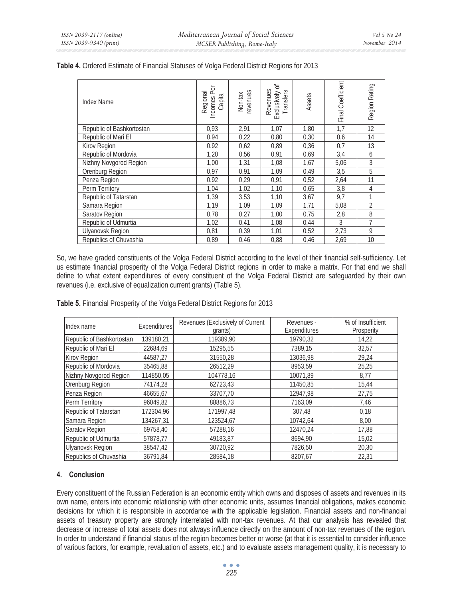| Index Name                | Per<br>Regional<br>Incomes F<br>Capita | revenues<br>Non-tax | Exclusively of<br>Revenues<br>Transfers | Assets | Final Coefficient | Region Rating |
|---------------------------|----------------------------------------|---------------------|-----------------------------------------|--------|-------------------|---------------|
| Republic of Bashkortostan | 0,93                                   | 2,91                | 1,07                                    | 1,80   | 1,7               | 12            |
| Republic of Mari El       | 0,94                                   | 0,22                | 0,80                                    | 0,30   | 0,6               | 14            |
| Kirov Region              | 0,92                                   | 0,62                | 0,89                                    | 0,36   | 0,7               | 13            |
| Republic of Mordovia      | 1,20                                   | 0,56                | 0,91                                    | 0,69   | 3,4               | 6             |
| Nizhny Novgorod Region    | 1,00                                   | 1,31                | 1,08                                    | 1,67   | 5,06              | 3             |
| Orenburg Region           | 0,97                                   | 0,91                | 1,09                                    | 0,49   | 3,5               | 5             |
| Penza Region              | 0,92                                   | 0,29                | 0,91                                    | 0,52   | 2,64              | 11            |
| Perm Territory            | 1,04                                   | 1,02                | 1,10                                    | 0,65   | 3,8               | 4             |
| Republic of Tatarstan     | 1,39                                   | 3,53                | 1,10                                    | 3,67   | 9,7               | 1             |
| Samara Region             | 1,19                                   | 1,09                | 1,09                                    | 1,71   | 5,08              | 2             |
| Saratov Region            | 0,78                                   | 0,27                | 1,00                                    | 0,75   | 2,8               | 8             |
| Republic of Udmurtia      | 1,02                                   | 0,41                | 1,08                                    | 0,44   | 3                 | 7             |
| <b>Ulyanovsk Region</b>   | 0,81                                   | 0,39                | 1,01                                    | 0,52   | 2,73              | 9             |
| Republics of Chuvashia    | 0,89                                   | 0,46                | 0,88                                    | 0,46   | 2,69              | 10            |

#### **Table 4.** Ordered Estimate of Financial Statuses of Volga Federal District Regions for 2013

So, we have graded constituents of the Volga Federal District according to the level of their financial self-sufficiency. Let us estimate financial prosperity of the Volga Federal District regions in order to make a matrix. For that end we shall define to what extent expenditures of every constituent of the Volga Federal District are safeguarded by their own revenues (i.e. exclusive of equalization current grants) (Table 5).

**Table 5.** Financial Prosperity of the Volga Federal District Regions for 2013

| Index name                | <b>Expenditures</b> | Revenues (Exclusively of Current<br>grants) | Revenues -<br>Expenditures | % of Insufficient<br>Prosperity |
|---------------------------|---------------------|---------------------------------------------|----------------------------|---------------------------------|
| Republic of Bashkortostan | 139180,21           | 119389,90                                   | 19790,32                   | 14,22                           |
| Republic of Mari El       | 22684,69            | 15295,55                                    | 7389,15                    | 32,57                           |
| Kirov Region              | 44587,27            | 31550,28                                    | 13036,98                   | 29,24                           |
| Republic of Mordovia      | 35465,88            | 26512.29                                    | 8953.59                    | 25,25                           |
| Nizhny Novgorod Region    | 114850,05           | 104778,16                                   | 10071,89                   | 8,77                            |
| Orenburg Region           | 74174,28            | 62723,43                                    | 11450,85                   | 15,44                           |
| Penza Region              | 46655,67            | 33707,70                                    | 12947.98                   | 27,75                           |
| Perm Territory            | 96049.82            | 88886.73                                    | 7163.09                    | 7,46                            |
| Republic of Tatarstan     | 172304,96           | 171997,48                                   | 307,48                     | 0,18                            |
| Samara Region             | 134267,31           | 123524,67                                   | 10742,64                   | 8,00                            |
| <b>Saratov Region</b>     | 69758,40            | 57288,16                                    | 12470,24                   | 17,88                           |
| Republic of Udmurtia      | 57878,77            | 49183,87                                    | 8694,90                    | 15,02                           |
| <b>Ulyanovsk Region</b>   | 38547,42            | 30720,92                                    | 7826,50                    | 20,30                           |
| Republics of Chuvashia    | 36791,84            | 28584.18                                    | 8207.67                    | 22,31                           |

## **4. Conclusion**

Every constituent of the Russian Federation is an economic entity which owns and disposes of assets and revenues in its own name, enters into economic relationship with other economic units, assumes financial obligations, makes economic decisions for which it is responsible in accordance with the applicable legislation. Financial assets and non-financial assets of treasury property are strongly interrelated with non-tax revenues. At that our analysis has revealed that decrease or increase of total assets does not always influence directly on the amount of non-tax revenues of the region. In order to understand if financial status of the region becomes better or worse (at that it is essential to consider influence of various factors, for example, revaluation of assets, etc.) and to evaluate assets management quality, it is necessary to